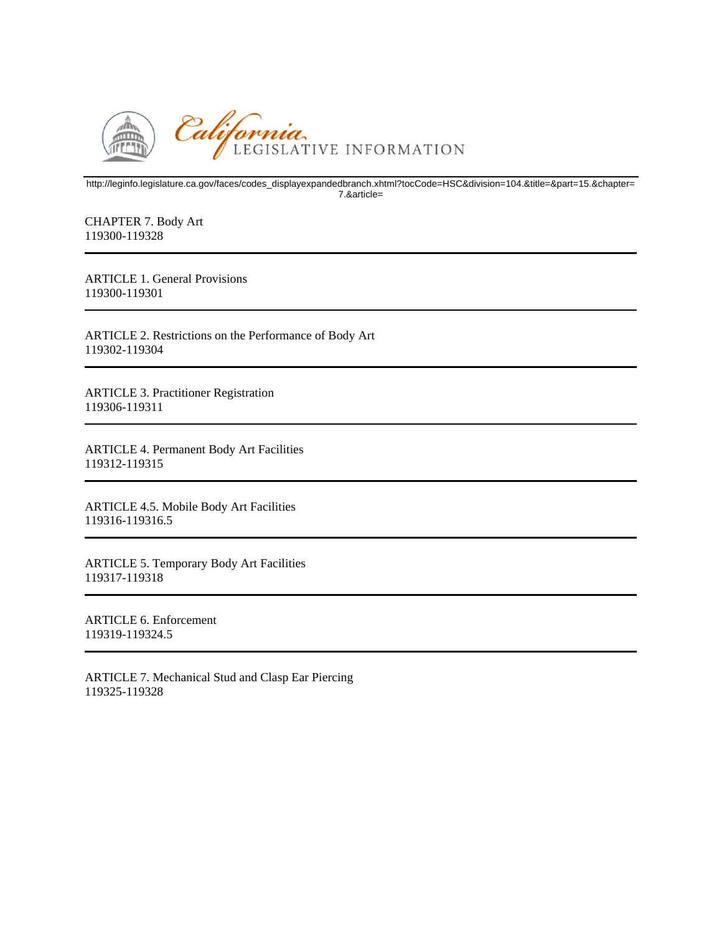

http://leginfo.legislature.ca.gov/faces/codes\_displayexpandedbranch.xhtml?tocCode=HSC&division=104.&title=&part=15.&chapter= 7.&article=

CHAPTER 7. Body Art 119300-119328

ARTICLE 1. General Provisions 119300-119301

ARTICLE 2. Restrictions on the Performance of Body Art 119302-119304

ARTICLE 3. Practitioner Registration 119306-119311

ARTICLE 4. Permanent Body Art Facilities 119312-119315

ARTICLE 4.5. Mobile Body Art Facilities 119316-119316.5

ARTICLE 5. Temporary Body Art Facilities 119317-119318

ARTICLE 6. Enforcement 119319-119324.5

ARTICLE 7. Mechanical Stud and Clasp Ear Piercing 119325-119328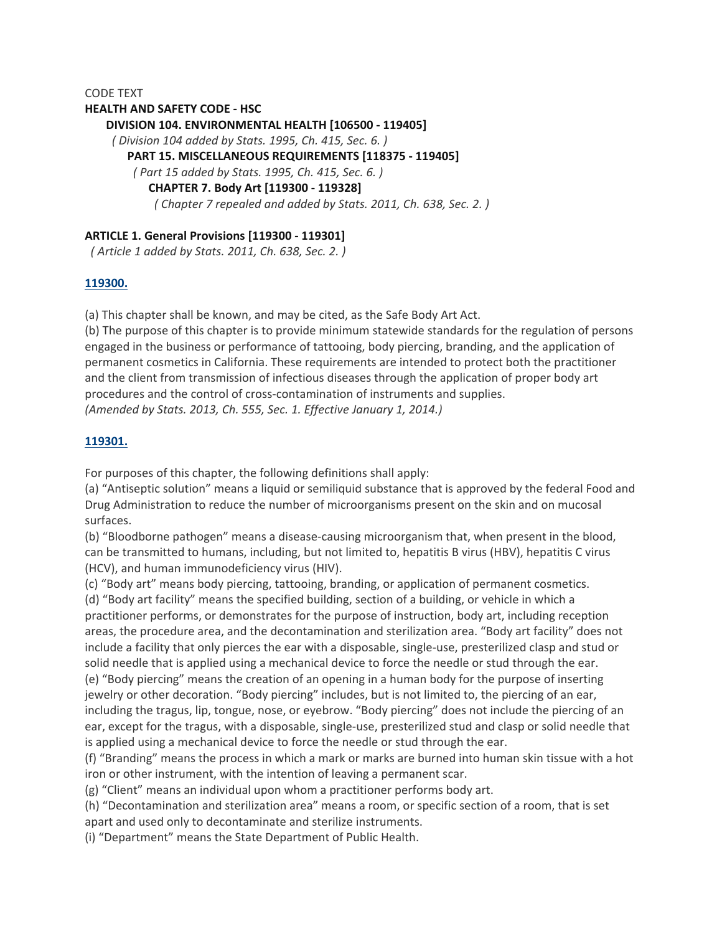#### CODE TEXT

#### **HEALTH AND SAFETY CODE ‐ HSC**

**DIVISION 104. ENVIRONMENTAL HEALTH [106500 ‐ 119405]**

*( Division 104 added by Stats. 1995, Ch. 415, Sec. 6. )*

#### **PART 15. MISCELLANEOUS REQUIREMENTS [118375 ‐ 119405]**

*( Part 15 added by Stats. 1995, Ch. 415, Sec. 6. )*

**CHAPTER 7. Body Art [119300 ‐ 119328]**

*( Chapter 7 repealed and added by Stats. 2011, Ch. 638, Sec. 2. )*

### **ARTICLE 1. General Provisions [119300 ‐ 119301]**

*( Article 1 added by Stats. 2011, Ch. 638, Sec. 2. )*

#### **119300.**

(a) This chapter shall be known, and may be cited, as the Safe Body Art Act.

(b) The purpose of this chapter is to provide minimum statewide standards for the regulation of persons engaged in the business or performance of tattooing, body piercing, branding, and the application of permanent cosmetics in California. These requirements are intended to protect both the practitioner and the client from transmission of infectious diseases through the application of proper body art procedures and the control of cross‐contamination of instruments and supplies. *(Amended by Stats. 2013, Ch. 555, Sec. 1. Effective January 1, 2014.)*

#### **119301.**

For purposes of this chapter, the following definitions shall apply:

(a) "Antiseptic solution" means a liquid or semiliquid substance that is approved by the federal Food and Drug Administration to reduce the number of microorganisms present on the skin and on mucosal surfaces.

(b) "Bloodborne pathogen" means a disease‐causing microorganism that, when present in the blood, can be transmitted to humans, including, but not limited to, hepatitis B virus (HBV), hepatitis C virus (HCV), and human immunodeficiency virus (HIV).

(c) "Body art" means body piercing, tattooing, branding, or application of permanent cosmetics. (d) "Body art facility" means the specified building, section of a building, or vehicle in which a practitioner performs, or demonstrates for the purpose of instruction, body art, including reception areas, the procedure area, and the decontamination and sterilization area. "Body art facility" does not include a facility that only pierces the ear with a disposable, single‐use, presterilized clasp and stud or solid needle that is applied using a mechanical device to force the needle or stud through the ear. (e) "Body piercing" means the creation of an opening in a human body for the purpose of inserting jewelry or other decoration. "Body piercing" includes, but is not limited to, the piercing of an ear, including the tragus, lip, tongue, nose, or eyebrow. "Body piercing" does not include the piercing of an ear, except for the tragus, with a disposable, single-use, presterilized stud and clasp or solid needle that is applied using a mechanical device to force the needle or stud through the ear.

(f) "Branding" means the process in which a mark or marks are burned into human skin tissue with a hot iron or other instrument, with the intention of leaving a permanent scar.

(g) "Client" means an individual upon whom a practitioner performs body art.

(h) "Decontamination and sterilization area" means a room, or specific section of a room, that is set apart and used only to decontaminate and sterilize instruments.

(i) "Department" means the State Department of Public Health.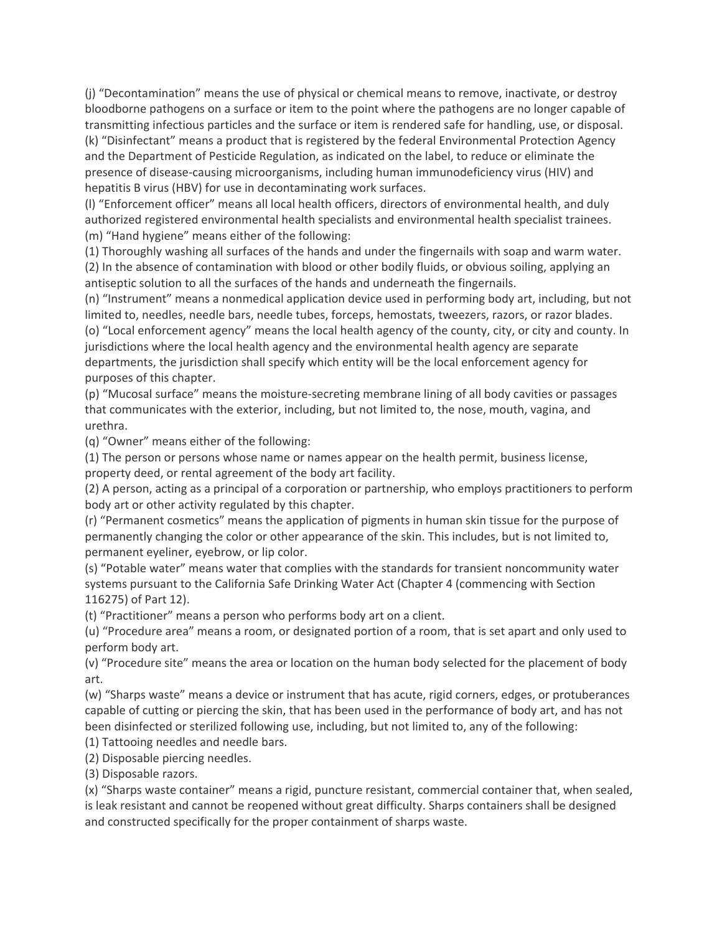(j) "Decontamination" means the use of physical or chemical means to remove, inactivate, or destroy bloodborne pathogens on a surface or item to the point where the pathogens are no longer capable of transmitting infectious particles and the surface or item is rendered safe for handling, use, or disposal. (k) "Disinfectant" means a product that is registered by the federal Environmental Protection Agency and the Department of Pesticide Regulation, as indicated on the label, to reduce or eliminate the presence of disease‐causing microorganisms, including human immunodeficiency virus (HIV) and hepatitis B virus (HBV) for use in decontaminating work surfaces.

(l) "Enforcement officer" means all local health officers, directors of environmental health, and duly authorized registered environmental health specialists and environmental health specialist trainees.

(m) "Hand hygiene" means either of the following:

(1) Thoroughly washing all surfaces of the hands and under the fingernails with soap and warm water. (2) In the absence of contamination with blood or other bodily fluids, or obvious soiling, applying an antiseptic solution to all the surfaces of the hands and underneath the fingernails.

(n) "Instrument" means a nonmedical application device used in performing body art, including, but not limited to, needles, needle bars, needle tubes, forceps, hemostats, tweezers, razors, or razor blades. (o) "Local enforcement agency" means the local health agency of the county, city, or city and county. In jurisdictions where the local health agency and the environmental health agency are separate departments, the jurisdiction shall specify which entity will be the local enforcement agency for purposes of this chapter.

(p) "Mucosal surface" means the moisture‐secreting membrane lining of all body cavities or passages that communicates with the exterior, including, but not limited to, the nose, mouth, vagina, and urethra.

(q) "Owner" means either of the following:

(1) The person or persons whose name or names appear on the health permit, business license, property deed, or rental agreement of the body art facility.

(2) A person, acting as a principal of a corporation or partnership, who employs practitioners to perform body art or other activity regulated by this chapter.

(r) "Permanent cosmetics" means the application of pigments in human skin tissue for the purpose of permanently changing the color or other appearance of the skin. This includes, but is not limited to, permanent eyeliner, eyebrow, or lip color.

(s) "Potable water" means water that complies with the standards for transient noncommunity water systems pursuant to the California Safe Drinking Water Act (Chapter 4 (commencing with Section 116275) of Part 12).

(t) "Practitioner" means a person who performs body art on a client.

(u) "Procedure area" means a room, or designated portion of a room, that is set apart and only used to perform body art.

(v) "Procedure site" means the area or location on the human body selected for the placement of body art.

(w) "Sharps waste" means a device or instrument that has acute, rigid corners, edges, or protuberances capable of cutting or piercing the skin, that has been used in the performance of body art, and has not been disinfected or sterilized following use, including, but not limited to, any of the following:

(1) Tattooing needles and needle bars.

(2) Disposable piercing needles.

(3) Disposable razors.

(x) "Sharps waste container" means a rigid, puncture resistant, commercial container that, when sealed, is leak resistant and cannot be reopened without great difficulty. Sharps containers shall be designed and constructed specifically for the proper containment of sharps waste.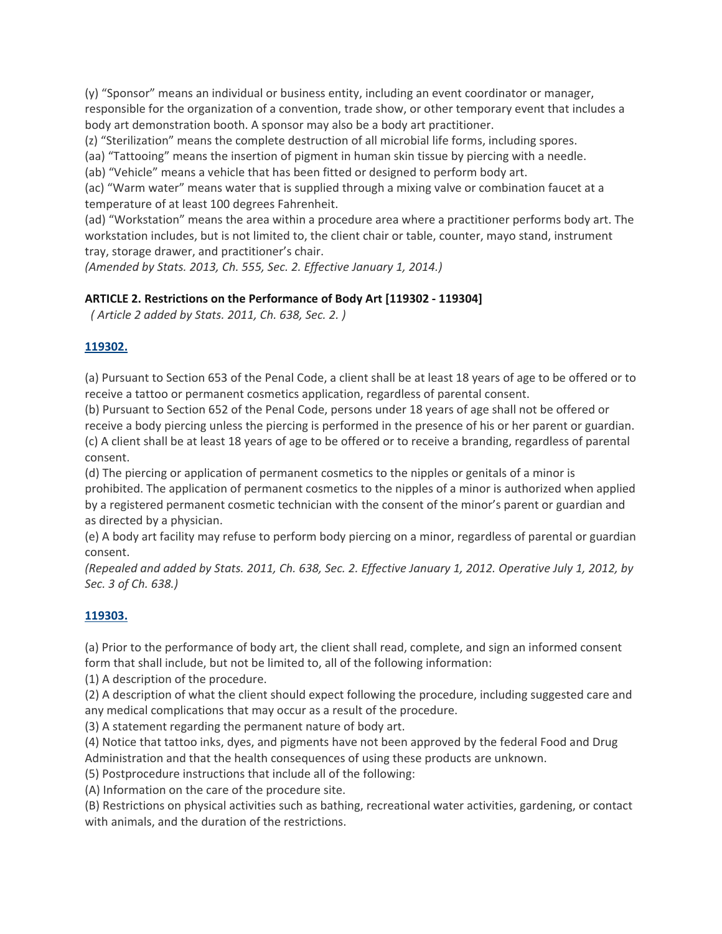(y) "Sponsor" means an individual or business entity, including an event coordinator or manager, responsible for the organization of a convention, trade show, or other temporary event that includes a body art demonstration booth. A sponsor may also be a body art practitioner.

(z) "Sterilization" means the complete destruction of all microbial life forms, including spores.

(aa) "Tattooing" means the insertion of pigment in human skin tissue by piercing with a needle.

(ab) "Vehicle" means a vehicle that has been fitted or designed to perform body art.

(ac) "Warm water" means water that is supplied through a mixing valve or combination faucet at a temperature of at least 100 degrees Fahrenheit.

(ad) "Workstation" means the area within a procedure area where a practitioner performs body art. The workstation includes, but is not limited to, the client chair or table, counter, mayo stand, instrument tray, storage drawer, and practitioner's chair.

*(Amended by Stats. 2013, Ch. 555, Sec. 2. Effective January 1, 2014.)*

### **ARTICLE 2. Restrictions on the Performance of Body Art [119302 ‐ 119304]**

*( Article 2 added by Stats. 2011, Ch. 638, Sec. 2. )*

#### **119302.**

(a) Pursuant to Section 653 of the Penal Code, a client shall be at least 18 years of age to be offered or to receive a tattoo or permanent cosmetics application, regardless of parental consent.

(b) Pursuant to Section 652 of the Penal Code, persons under 18 years of age shall not be offered or receive a body piercing unless the piercing is performed in the presence of his or her parent or guardian. (c) A client shall be at least 18 years of age to be offered or to receive a branding, regardless of parental consent.

(d) The piercing or application of permanent cosmetics to the nipples or genitals of a minor is prohibited. The application of permanent cosmetics to the nipples of a minor is authorized when applied by a registered permanent cosmetic technician with the consent of the minor's parent or guardian and as directed by a physician.

(e) A body art facility may refuse to perform body piercing on a minor, regardless of parental or guardian consent.

(Repealed and added by Stats. 2011, Ch. 638, Sec. 2. Effective January 1, 2012. Operative July 1, 2012, by *Sec. 3 of Ch. 638.)*

### **119303.**

(a) Prior to the performance of body art, the client shall read, complete, and sign an informed consent form that shall include, but not be limited to, all of the following information:

(1) A description of the procedure.

(2) A description of what the client should expect following the procedure, including suggested care and any medical complications that may occur as a result of the procedure.

(3) A statement regarding the permanent nature of body art.

(4) Notice that tattoo inks, dyes, and pigments have not been approved by the federal Food and Drug Administration and that the health consequences of using these products are unknown.

(5) Postprocedure instructions that include all of the following:

(A) Information on the care of the procedure site.

(B) Restrictions on physical activities such as bathing, recreational water activities, gardening, or contact with animals, and the duration of the restrictions.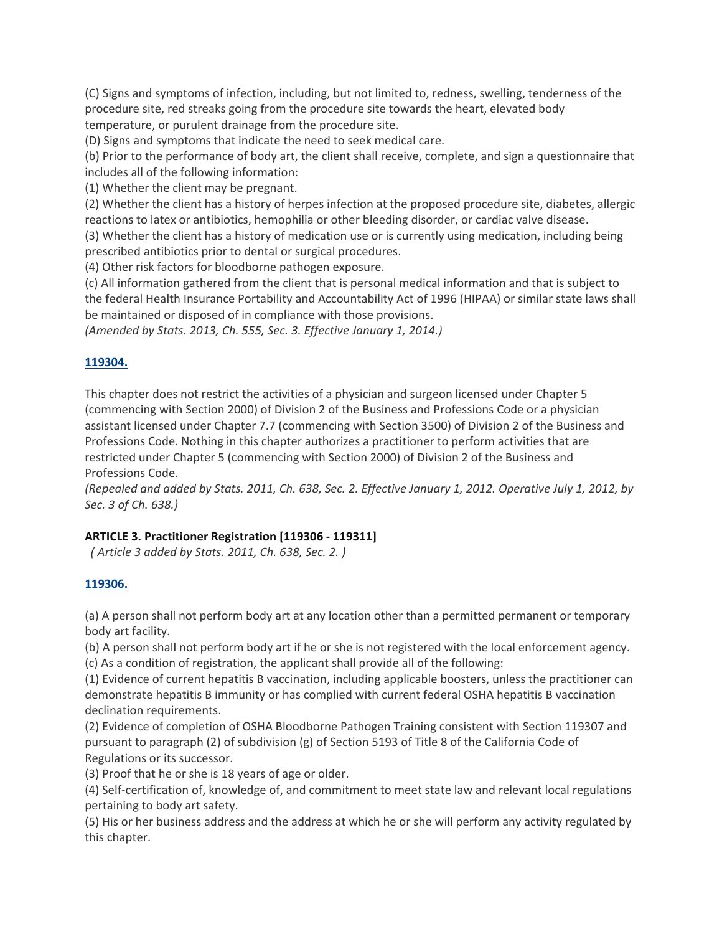(C) Signs and symptoms of infection, including, but not limited to, redness, swelling, tenderness of the procedure site, red streaks going from the procedure site towards the heart, elevated body temperature, or purulent drainage from the procedure site.

(D) Signs and symptoms that indicate the need to seek medical care.

(b) Prior to the performance of body art, the client shall receive, complete, and sign a questionnaire that includes all of the following information:

(1) Whether the client may be pregnant.

(2) Whether the client has a history of herpes infection at the proposed procedure site, diabetes, allergic reactions to latex or antibiotics, hemophilia or other bleeding disorder, or cardiac valve disease.

(3) Whether the client has a history of medication use or is currently using medication, including being prescribed antibiotics prior to dental or surgical procedures.

(4) Other risk factors for bloodborne pathogen exposure.

(c) All information gathered from the client that is personal medical information and that is subject to the federal Health Insurance Portability and Accountability Act of 1996 (HIPAA) or similar state laws shall be maintained or disposed of in compliance with those provisions.

*(Amended by Stats. 2013, Ch. 555, Sec. 3. Effective January 1, 2014.)*

## **119304.**

This chapter does not restrict the activities of a physician and surgeon licensed under Chapter 5 (commencing with Section 2000) of Division 2 of the Business and Professions Code or a physician assistant licensed under Chapter 7.7 (commencing with Section 3500) of Division 2 of the Business and Professions Code. Nothing in this chapter authorizes a practitioner to perform activities that are restricted under Chapter 5 (commencing with Section 2000) of Division 2 of the Business and Professions Code.

(Repealed and added by Stats. 2011, Ch. 638, Sec. 2. Effective January 1, 2012. Operative July 1, 2012, by *Sec. 3 of Ch. 638.)*

### **ARTICLE 3. Practitioner Registration [119306 ‐ 119311]**

*( Article 3 added by Stats. 2011, Ch. 638, Sec. 2. )*

# **119306.**

(a) A person shall not perform body art at any location other than a permitted permanent or temporary body art facility.

(b) A person shall not perform body art if he or she is not registered with the local enforcement agency. (c) As a condition of registration, the applicant shall provide all of the following:

(1) Evidence of current hepatitis B vaccination, including applicable boosters, unless the practitioner can demonstrate hepatitis B immunity or has complied with current federal OSHA hepatitis B vaccination declination requirements.

(2) Evidence of completion of OSHA Bloodborne Pathogen Training consistent with Section 119307 and pursuant to paragraph (2) of subdivision (g) of Section 5193 of Title 8 of the California Code of Regulations or its successor.

(3) Proof that he or she is 18 years of age or older.

(4) Self‐certification of, knowledge of, and commitment to meet state law and relevant local regulations pertaining to body art safety.

(5) His or her business address and the address at which he or she will perform any activity regulated by this chapter.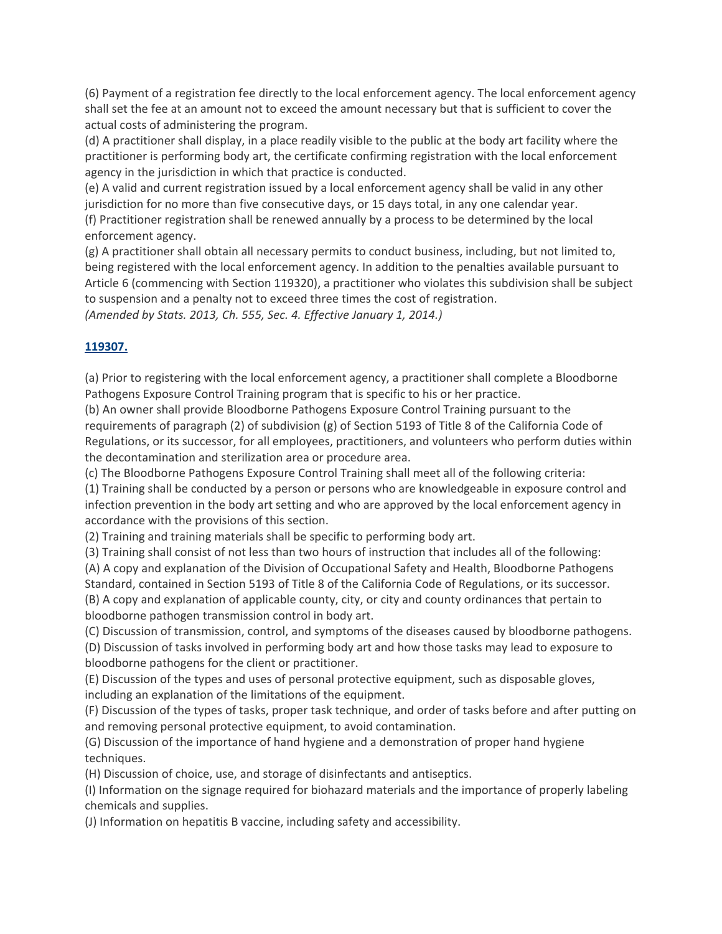(6) Payment of a registration fee directly to the local enforcement agency. The local enforcement agency shall set the fee at an amount not to exceed the amount necessary but that is sufficient to cover the actual costs of administering the program.

(d) A practitioner shall display, in a place readily visible to the public at the body art facility where the practitioner is performing body art, the certificate confirming registration with the local enforcement agency in the jurisdiction in which that practice is conducted.

(e) A valid and current registration issued by a local enforcement agency shall be valid in any other jurisdiction for no more than five consecutive days, or 15 days total, in any one calendar year.

(f) Practitioner registration shall be renewed annually by a process to be determined by the local enforcement agency.

(g) A practitioner shall obtain all necessary permits to conduct business, including, but not limited to, being registered with the local enforcement agency. In addition to the penalties available pursuant to Article 6 (commencing with Section 119320), a practitioner who violates this subdivision shall be subject to suspension and a penalty not to exceed three times the cost of registration.

*(Amended by Stats. 2013, Ch. 555, Sec. 4. Effective January 1, 2014.)*

### **119307.**

(a) Prior to registering with the local enforcement agency, a practitioner shall complete a Bloodborne Pathogens Exposure Control Training program that is specific to his or her practice.

(b) An owner shall provide Bloodborne Pathogens Exposure Control Training pursuant to the requirements of paragraph (2) of subdivision (g) of Section 5193 of Title 8 of the California Code of Regulations, or its successor, for all employees, practitioners, and volunteers who perform duties within the decontamination and sterilization area or procedure area.

(c) The Bloodborne Pathogens Exposure Control Training shall meet all of the following criteria:

(1) Training shall be conducted by a person or persons who are knowledgeable in exposure control and infection prevention in the body art setting and who are approved by the local enforcement agency in accordance with the provisions of this section.

(2) Training and training materials shall be specific to performing body art.

(3) Training shall consist of not less than two hours of instruction that includes all of the following:

(A) A copy and explanation of the Division of Occupational Safety and Health, Bloodborne Pathogens Standard, contained in Section 5193 of Title 8 of the California Code of Regulations, or its successor. (B) A copy and explanation of applicable county, city, or city and county ordinances that pertain to bloodborne pathogen transmission control in body art.

(C) Discussion of transmission, control, and symptoms of the diseases caused by bloodborne pathogens.

(D) Discussion of tasks involved in performing body art and how those tasks may lead to exposure to bloodborne pathogens for the client or practitioner.

(E) Discussion of the types and uses of personal protective equipment, such as disposable gloves, including an explanation of the limitations of the equipment.

(F) Discussion of the types of tasks, proper task technique, and order of tasks before and after putting on and removing personal protective equipment, to avoid contamination.

(G) Discussion of the importance of hand hygiene and a demonstration of proper hand hygiene techniques.

(H) Discussion of choice, use, and storage of disinfectants and antiseptics.

(I) Information on the signage required for biohazard materials and the importance of properly labeling chemicals and supplies.

(J) Information on hepatitis B vaccine, including safety and accessibility.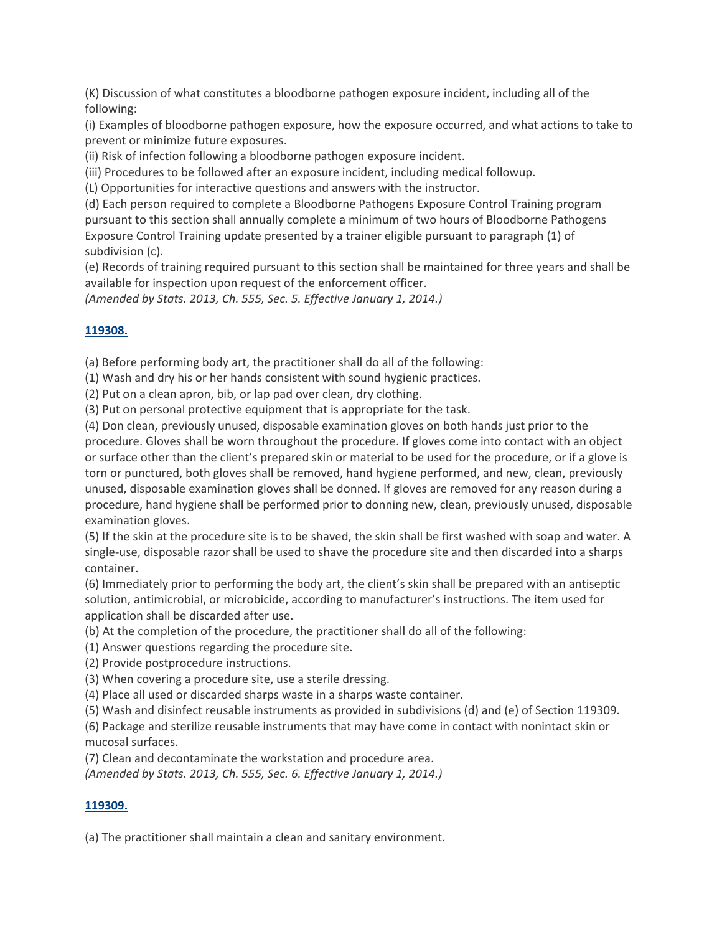(K) Discussion of what constitutes a bloodborne pathogen exposure incident, including all of the following:

(i) Examples of bloodborne pathogen exposure, how the exposure occurred, and what actions to take to prevent or minimize future exposures.

(ii) Risk of infection following a bloodborne pathogen exposure incident.

(iii) Procedures to be followed after an exposure incident, including medical followup.

(L) Opportunities for interactive questions and answers with the instructor.

(d) Each person required to complete a Bloodborne Pathogens Exposure Control Training program pursuant to this section shall annually complete a minimum of two hours of Bloodborne Pathogens Exposure Control Training update presented by a trainer eligible pursuant to paragraph (1) of subdivision (c).

(e) Records of training required pursuant to this section shall be maintained for three years and shall be available for inspection upon request of the enforcement officer.

*(Amended by Stats. 2013, Ch. 555, Sec. 5. Effective January 1, 2014.)*

#### **119308.**

(a) Before performing body art, the practitioner shall do all of the following:

(1) Wash and dry his or her hands consistent with sound hygienic practices.

(2) Put on a clean apron, bib, or lap pad over clean, dry clothing.

(3) Put on personal protective equipment that is appropriate for the task.

(4) Don clean, previously unused, disposable examination gloves on both hands just prior to the procedure. Gloves shall be worn throughout the procedure. If gloves come into contact with an object or surface other than the client's prepared skin or material to be used for the procedure, or if a glove is torn or punctured, both gloves shall be removed, hand hygiene performed, and new, clean, previously unused, disposable examination gloves shall be donned. If gloves are removed for any reason during a procedure, hand hygiene shall be performed prior to donning new, clean, previously unused, disposable examination gloves.

(5) If the skin at the procedure site is to be shaved, the skin shall be first washed with soap and water. A single‐use, disposable razor shall be used to shave the procedure site and then discarded into a sharps container.

(6) Immediately prior to performing the body art, the client's skin shall be prepared with an antiseptic solution, antimicrobial, or microbicide, according to manufacturer's instructions. The item used for application shall be discarded after use.

(b) At the completion of the procedure, the practitioner shall do all of the following:

(1) Answer questions regarding the procedure site.

(2) Provide postprocedure instructions.

(3) When covering a procedure site, use a sterile dressing.

(4) Place all used or discarded sharps waste in a sharps waste container.

(5) Wash and disinfect reusable instruments as provided in subdivisions (d) and (e) of Section 119309.

(6) Package and sterilize reusable instruments that may have come in contact with nonintact skin or mucosal surfaces.

(7) Clean and decontaminate the workstation and procedure area.

*(Amended by Stats. 2013, Ch. 555, Sec. 6. Effective January 1, 2014.)*

### **119309.**

(a) The practitioner shall maintain a clean and sanitary environment.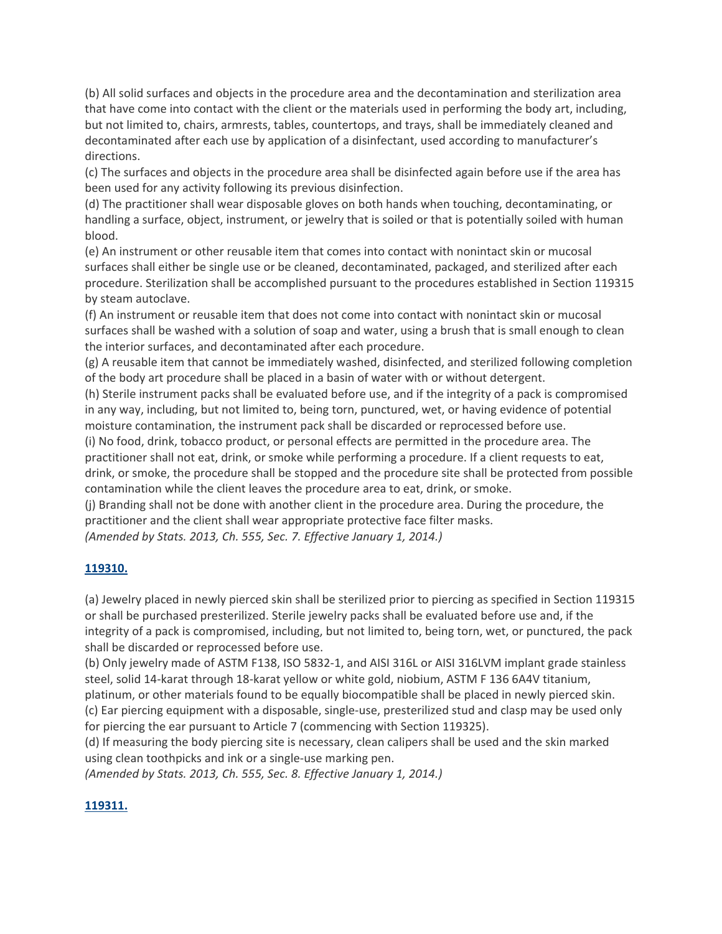(b) All solid surfaces and objects in the procedure area and the decontamination and sterilization area that have come into contact with the client or the materials used in performing the body art, including, but not limited to, chairs, armrests, tables, countertops, and trays, shall be immediately cleaned and decontaminated after each use by application of a disinfectant, used according to manufacturer's directions.

(c) The surfaces and objects in the procedure area shall be disinfected again before use if the area has been used for any activity following its previous disinfection.

(d) The practitioner shall wear disposable gloves on both hands when touching, decontaminating, or handling a surface, object, instrument, or jewelry that is soiled or that is potentially soiled with human blood.

(e) An instrument or other reusable item that comes into contact with nonintact skin or mucosal surfaces shall either be single use or be cleaned, decontaminated, packaged, and sterilized after each procedure. Sterilization shall be accomplished pursuant to the procedures established in Section 119315 by steam autoclave.

(f) An instrument or reusable item that does not come into contact with nonintact skin or mucosal surfaces shall be washed with a solution of soap and water, using a brush that is small enough to clean the interior surfaces, and decontaminated after each procedure.

(g) A reusable item that cannot be immediately washed, disinfected, and sterilized following completion of the body art procedure shall be placed in a basin of water with or without detergent.

(h) Sterile instrument packs shall be evaluated before use, and if the integrity of a pack is compromised in any way, including, but not limited to, being torn, punctured, wet, or having evidence of potential moisture contamination, the instrument pack shall be discarded or reprocessed before use.

(i) No food, drink, tobacco product, or personal effects are permitted in the procedure area. The practitioner shall not eat, drink, or smoke while performing a procedure. If a client requests to eat, drink, or smoke, the procedure shall be stopped and the procedure site shall be protected from possible contamination while the client leaves the procedure area to eat, drink, or smoke.

(j) Branding shall not be done with another client in the procedure area. During the procedure, the practitioner and the client shall wear appropriate protective face filter masks.

*(Amended by Stats. 2013, Ch. 555, Sec. 7. Effective January 1, 2014.)*

### **119310.**

(a) Jewelry placed in newly pierced skin shall be sterilized prior to piercing as specified in Section 119315 or shall be purchased presterilized. Sterile jewelry packs shall be evaluated before use and, if the integrity of a pack is compromised, including, but not limited to, being torn, wet, or punctured, the pack shall be discarded or reprocessed before use.

(b) Only jewelry made of ASTM F138, ISO 5832‐1, and AISI 316L or AISI 316LVM implant grade stainless steel, solid 14‐karat through 18‐karat yellow or white gold, niobium, ASTM F 136 6A4V titanium, platinum, or other materials found to be equally biocompatible shall be placed in newly pierced skin. (c) Ear piercing equipment with a disposable, single‐use, presterilized stud and clasp may be used only for piercing the ear pursuant to Article 7 (commencing with Section 119325).

(d) If measuring the body piercing site is necessary, clean calipers shall be used and the skin marked using clean toothpicks and ink or a single‐use marking pen.

*(Amended by Stats. 2013, Ch. 555, Sec. 8. Effective January 1, 2014.)*

### **119311.**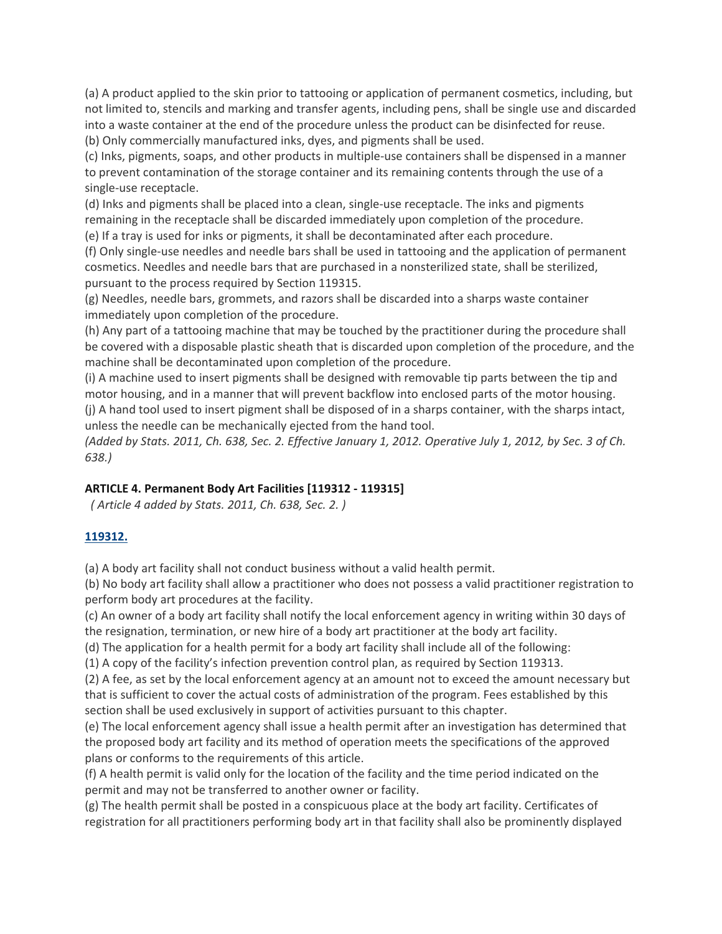(a) A product applied to the skin prior to tattooing or application of permanent cosmetics, including, but not limited to, stencils and marking and transfer agents, including pens, shall be single use and discarded into a waste container at the end of the procedure unless the product can be disinfected for reuse. (b) Only commercially manufactured inks, dyes, and pigments shall be used.

(c) Inks, pigments, soaps, and other products in multiple‐use containers shall be dispensed in a manner to prevent contamination of the storage container and its remaining contents through the use of a single‐use receptacle.

(d) Inks and pigments shall be placed into a clean, single‐use receptacle. The inks and pigments remaining in the receptacle shall be discarded immediately upon completion of the procedure.

(e) If a tray is used for inks or pigments, it shall be decontaminated after each procedure.

(f) Only single‐use needles and needle bars shall be used in tattooing and the application of permanent cosmetics. Needles and needle bars that are purchased in a nonsterilized state, shall be sterilized, pursuant to the process required by Section 119315.

(g) Needles, needle bars, grommets, and razors shall be discarded into a sharps waste container immediately upon completion of the procedure.

(h) Any part of a tattooing machine that may be touched by the practitioner during the procedure shall be covered with a disposable plastic sheath that is discarded upon completion of the procedure, and the machine shall be decontaminated upon completion of the procedure.

(i) A machine used to insert pigments shall be designed with removable tip parts between the tip and motor housing, and in a manner that will prevent backflow into enclosed parts of the motor housing. (j) A hand tool used to insert pigment shall be disposed of in a sharps container, with the sharps intact, unless the needle can be mechanically ejected from the hand tool.

(Added by Stats. 2011, Ch. 638, Sec. 2. Effective January 1, 2012. Operative July 1, 2012, by Sec. 3 of Ch. *638.)*

### **ARTICLE 4. Permanent Body Art Facilities [119312 ‐ 119315]**

*( Article 4 added by Stats. 2011, Ch. 638, Sec. 2. )*

# **119312.**

(a) A body art facility shall not conduct business without a valid health permit.

(b) No body art facility shall allow a practitioner who does not possess a valid practitioner registration to perform body art procedures at the facility.

(c) An owner of a body art facility shall notify the local enforcement agency in writing within 30 days of the resignation, termination, or new hire of a body art practitioner at the body art facility.

(d) The application for a health permit for a body art facility shall include all of the following:

(1) A copy of the facility's infection prevention control plan, as required by Section 119313.

(2) A fee, as set by the local enforcement agency at an amount not to exceed the amount necessary but that is sufficient to cover the actual costs of administration of the program. Fees established by this section shall be used exclusively in support of activities pursuant to this chapter.

(e) The local enforcement agency shall issue a health permit after an investigation has determined that the proposed body art facility and its method of operation meets the specifications of the approved plans or conforms to the requirements of this article.

(f) A health permit is valid only for the location of the facility and the time period indicated on the permit and may not be transferred to another owner or facility.

(g) The health permit shall be posted in a conspicuous place at the body art facility. Certificates of registration for all practitioners performing body art in that facility shall also be prominently displayed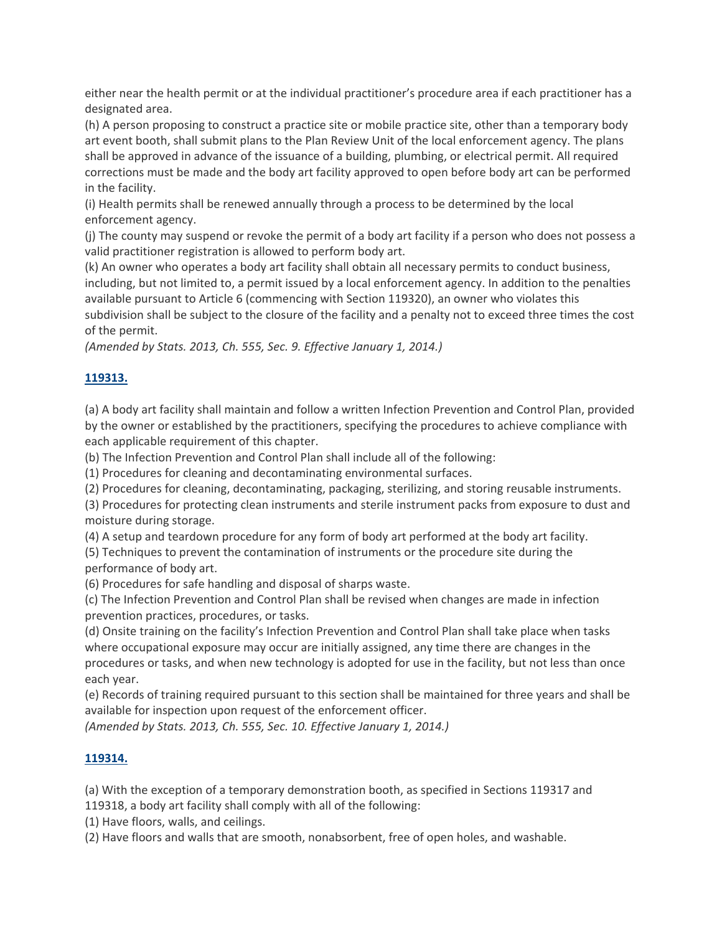either near the health permit or at the individual practitioner's procedure area if each practitioner has a designated area.

(h) A person proposing to construct a practice site or mobile practice site, other than a temporary body art event booth, shall submit plans to the Plan Review Unit of the local enforcement agency. The plans shall be approved in advance of the issuance of a building, plumbing, or electrical permit. All required corrections must be made and the body art facility approved to open before body art can be performed in the facility.

(i) Health permits shall be renewed annually through a process to be determined by the local enforcement agency.

(j) The county may suspend or revoke the permit of a body art facility if a person who does not possess a valid practitioner registration is allowed to perform body art.

(k) An owner who operates a body art facility shall obtain all necessary permits to conduct business, including, but not limited to, a permit issued by a local enforcement agency. In addition to the penalties available pursuant to Article 6 (commencing with Section 119320), an owner who violates this subdivision shall be subject to the closure of the facility and a penalty not to exceed three times the cost of the permit.

*(Amended by Stats. 2013, Ch. 555, Sec. 9. Effective January 1, 2014.)*

## **119313.**

(a) A body art facility shall maintain and follow a written Infection Prevention and Control Plan, provided by the owner or established by the practitioners, specifying the procedures to achieve compliance with each applicable requirement of this chapter.

(b) The Infection Prevention and Control Plan shall include all of the following:

(1) Procedures for cleaning and decontaminating environmental surfaces.

(2) Procedures for cleaning, decontaminating, packaging, sterilizing, and storing reusable instruments.

(3) Procedures for protecting clean instruments and sterile instrument packs from exposure to dust and moisture during storage.

(4) A setup and teardown procedure for any form of body art performed at the body art facility.

(5) Techniques to prevent the contamination of instruments or the procedure site during the performance of body art.

(6) Procedures for safe handling and disposal of sharps waste.

(c) The Infection Prevention and Control Plan shall be revised when changes are made in infection prevention practices, procedures, or tasks.

(d) Onsite training on the facility's Infection Prevention and Control Plan shall take place when tasks where occupational exposure may occur are initially assigned, any time there are changes in the procedures or tasks, and when new technology is adopted for use in the facility, but not less than once each year.

(e) Records of training required pursuant to this section shall be maintained for three years and shall be available for inspection upon request of the enforcement officer.

*(Amended by Stats. 2013, Ch. 555, Sec. 10. Effective January 1, 2014.)*

### **119314.**

(a) With the exception of a temporary demonstration booth, as specified in Sections 119317 and 119318, a body art facility shall comply with all of the following:

(1) Have floors, walls, and ceilings.

(2) Have floors and walls that are smooth, nonabsorbent, free of open holes, and washable.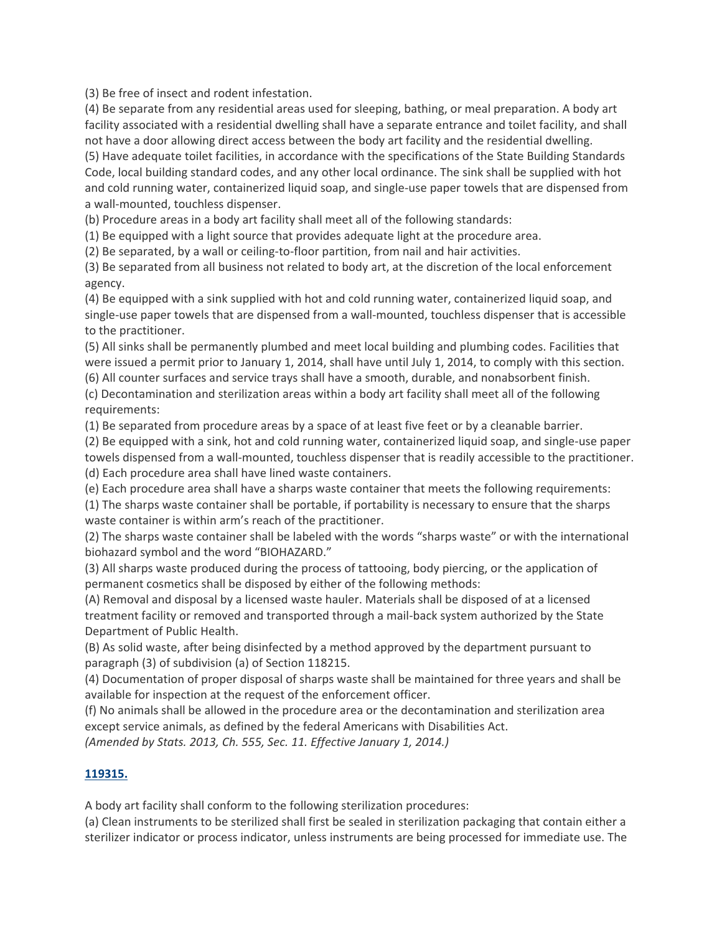(3) Be free of insect and rodent infestation.

(4) Be separate from any residential areas used for sleeping, bathing, or meal preparation. A body art facility associated with a residential dwelling shall have a separate entrance and toilet facility, and shall not have a door allowing direct access between the body art facility and the residential dwelling. (5) Have adequate toilet facilities, in accordance with the specifications of the State Building Standards

Code, local building standard codes, and any other local ordinance. The sink shall be supplied with hot and cold running water, containerized liquid soap, and single‐use paper towels that are dispensed from a wall‐mounted, touchless dispenser.

(b) Procedure areas in a body art facility shall meet all of the following standards:

(1) Be equipped with a light source that provides adequate light at the procedure area.

(2) Be separated, by a wall or ceiling‐to‐floor partition, from nail and hair activities.

(3) Be separated from all business not related to body art, at the discretion of the local enforcement agency.

(4) Be equipped with a sink supplied with hot and cold running water, containerized liquid soap, and single-use paper towels that are dispensed from a wall-mounted, touchless dispenser that is accessible to the practitioner.

(5) All sinks shall be permanently plumbed and meet local building and plumbing codes. Facilities that were issued a permit prior to January 1, 2014, shall have until July 1, 2014, to comply with this section.

(6) All counter surfaces and service trays shall have a smooth, durable, and nonabsorbent finish.

(c) Decontamination and sterilization areas within a body art facility shall meet all of the following requirements:

(1) Be separated from procedure areas by a space of at least five feet or by a cleanable barrier.

(2) Be equipped with a sink, hot and cold running water, containerized liquid soap, and single‐use paper towels dispensed from a wall‐mounted, touchless dispenser that is readily accessible to the practitioner. (d) Each procedure area shall have lined waste containers.

(e) Each procedure area shall have a sharps waste container that meets the following requirements:

(1) The sharps waste container shall be portable, if portability is necessary to ensure that the sharps waste container is within arm's reach of the practitioner.

(2) The sharps waste container shall be labeled with the words "sharps waste" or with the international biohazard symbol and the word "BIOHAZARD."

(3) All sharps waste produced during the process of tattooing, body piercing, or the application of permanent cosmetics shall be disposed by either of the following methods:

(A) Removal and disposal by a licensed waste hauler. Materials shall be disposed of at a licensed treatment facility or removed and transported through a mail‐back system authorized by the State Department of Public Health.

(B) As solid waste, after being disinfected by a method approved by the department pursuant to paragraph (3) of subdivision (a) of Section 118215.

(4) Documentation of proper disposal of sharps waste shall be maintained for three years and shall be available for inspection at the request of the enforcement officer.

(f) No animals shall be allowed in the procedure area or the decontamination and sterilization area except service animals, as defined by the federal Americans with Disabilities Act.

*(Amended by Stats. 2013, Ch. 555, Sec. 11. Effective January 1, 2014.)*

### **119315.**

A body art facility shall conform to the following sterilization procedures:

(a) Clean instruments to be sterilized shall first be sealed in sterilization packaging that contain either a sterilizer indicator or process indicator, unless instruments are being processed for immediate use. The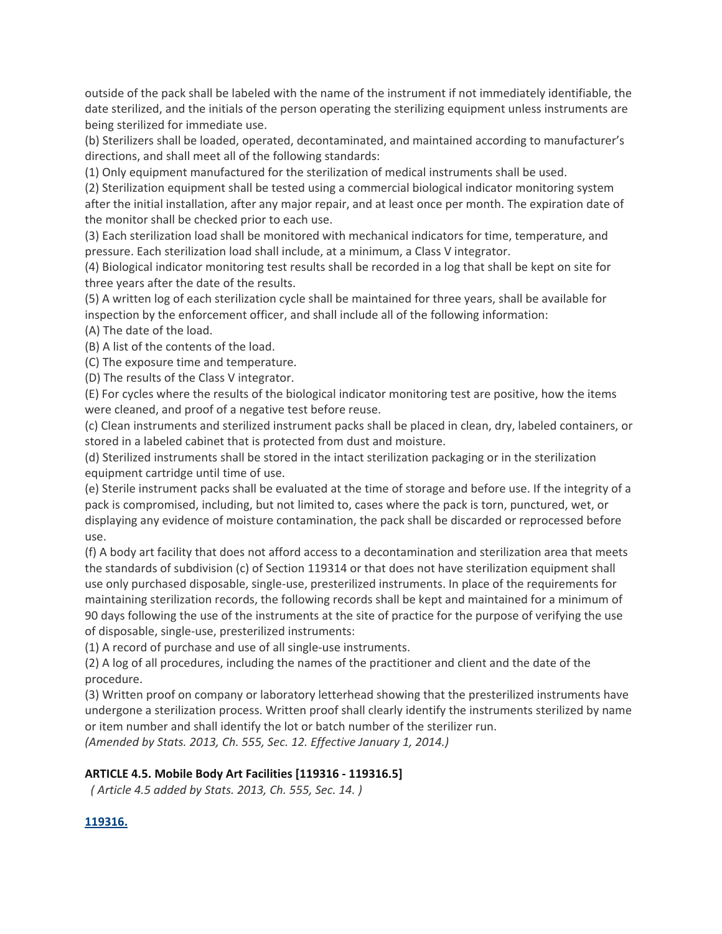outside of the pack shall be labeled with the name of the instrument if not immediately identifiable, the date sterilized, and the initials of the person operating the sterilizing equipment unless instruments are being sterilized for immediate use.

(b) Sterilizers shall be loaded, operated, decontaminated, and maintained according to manufacturer's directions, and shall meet all of the following standards:

(1) Only equipment manufactured for the sterilization of medical instruments shall be used.

(2) Sterilization equipment shall be tested using a commercial biological indicator monitoring system after the initial installation, after any major repair, and at least once per month. The expiration date of the monitor shall be checked prior to each use.

(3) Each sterilization load shall be monitored with mechanical indicators for time, temperature, and pressure. Each sterilization load shall include, at a minimum, a Class V integrator.

(4) Biological indicator monitoring test results shall be recorded in a log that shall be kept on site for three years after the date of the results.

(5) A written log of each sterilization cycle shall be maintained for three years, shall be available for inspection by the enforcement officer, and shall include all of the following information:

(A) The date of the load.

(B) A list of the contents of the load.

(C) The exposure time and temperature.

(D) The results of the Class V integrator.

(E) For cycles where the results of the biological indicator monitoring test are positive, how the items were cleaned, and proof of a negative test before reuse.

(c) Clean instruments and sterilized instrument packs shall be placed in clean, dry, labeled containers, or stored in a labeled cabinet that is protected from dust and moisture.

(d) Sterilized instruments shall be stored in the intact sterilization packaging or in the sterilization equipment cartridge until time of use.

(e) Sterile instrument packs shall be evaluated at the time of storage and before use. If the integrity of a pack is compromised, including, but not limited to, cases where the pack is torn, punctured, wet, or displaying any evidence of moisture contamination, the pack shall be discarded or reprocessed before use.

(f) A body art facility that does not afford access to a decontamination and sterilization area that meets the standards of subdivision (c) of Section 119314 or that does not have sterilization equipment shall use only purchased disposable, single‐use, presterilized instruments. In place of the requirements for maintaining sterilization records, the following records shall be kept and maintained for a minimum of 90 days following the use of the instruments at the site of practice for the purpose of verifying the use of disposable, single‐use, presterilized instruments:

(1) A record of purchase and use of all single‐use instruments.

(2) A log of all procedures, including the names of the practitioner and client and the date of the procedure.

(3) Written proof on company or laboratory letterhead showing that the presterilized instruments have undergone a sterilization process. Written proof shall clearly identify the instruments sterilized by name or item number and shall identify the lot or batch number of the sterilizer run.

*(Amended by Stats. 2013, Ch. 555, Sec. 12. Effective January 1, 2014.)*

#### **ARTICLE 4.5. Mobile Body Art Facilities [119316 ‐ 119316.5]**

*( Article 4.5 added by Stats. 2013, Ch. 555, Sec. 14. )*

### **119316.**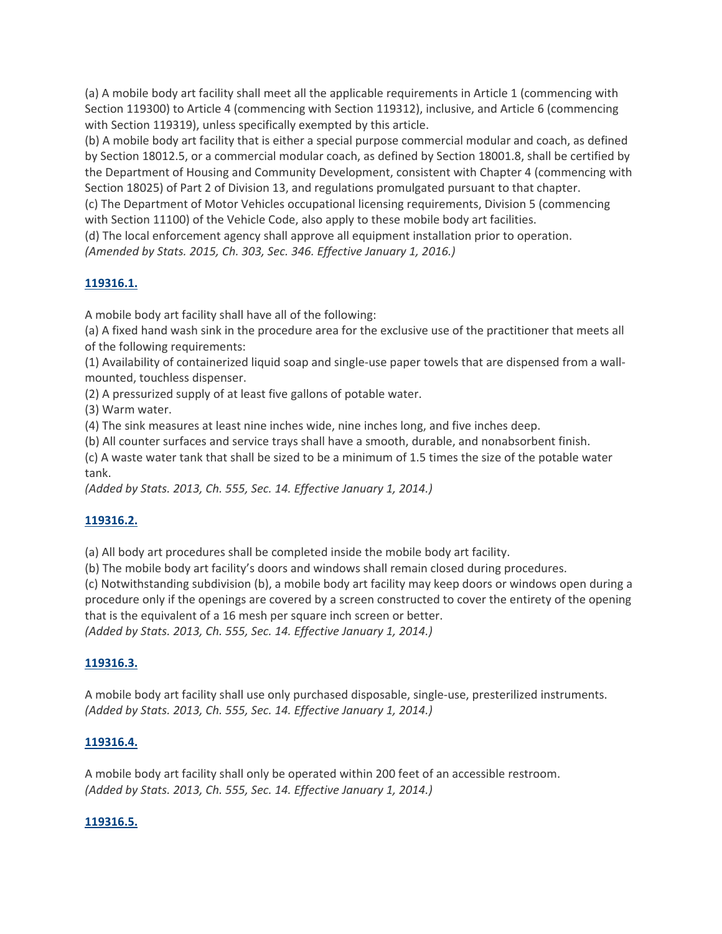(a) A mobile body art facility shall meet all the applicable requirements in Article 1 (commencing with Section 119300) to Article 4 (commencing with Section 119312), inclusive, and Article 6 (commencing with Section 119319), unless specifically exempted by this article.

(b) A mobile body art facility that is either a special purpose commercial modular and coach, as defined by Section 18012.5, or a commercial modular coach, as defined by Section 18001.8, shall be certified by the Department of Housing and Community Development, consistent with Chapter 4 (commencing with Section 18025) of Part 2 of Division 13, and regulations promulgated pursuant to that chapter.

(c) The Department of Motor Vehicles occupational licensing requirements, Division 5 (commencing with Section 11100) of the Vehicle Code, also apply to these mobile body art facilities.

(d) The local enforcement agency shall approve all equipment installation prior to operation.

*(Amended by Stats. 2015, Ch. 303, Sec. 346. Effective January 1, 2016.)*

## **119316.1.**

A mobile body art facility shall have all of the following:

(a) A fixed hand wash sink in the procedure area for the exclusive use of the practitioner that meets all of the following requirements:

(1) Availability of containerized liquid soap and single‐use paper towels that are dispensed from a wall‐ mounted, touchless dispenser.

(2) A pressurized supply of at least five gallons of potable water.

(3) Warm water.

(4) The sink measures at least nine inches wide, nine inches long, and five inches deep.

(b) All counter surfaces and service trays shall have a smooth, durable, and nonabsorbent finish.

(c) A waste water tank that shall be sized to be a minimum of 1.5 times the size of the potable water tank.

*(Added by Stats. 2013, Ch. 555, Sec. 14. Effective January 1, 2014.)*

### **119316.2.**

(a) All body art procedures shall be completed inside the mobile body art facility.

(b) The mobile body art facility's doors and windows shall remain closed during procedures.

(c) Notwithstanding subdivision (b), a mobile body art facility may keep doors or windows open during a procedure only if the openings are covered by a screen constructed to cover the entirety of the opening that is the equivalent of a 16 mesh per square inch screen or better.

*(Added by Stats. 2013, Ch. 555, Sec. 14. Effective January 1, 2014.)*

### **119316.3.**

A mobile body art facility shall use only purchased disposable, single‐use, presterilized instruments. *(Added by Stats. 2013, Ch. 555, Sec. 14. Effective January 1, 2014.)*

### **119316.4.**

A mobile body art facility shall only be operated within 200 feet of an accessible restroom. *(Added by Stats. 2013, Ch. 555, Sec. 14. Effective January 1, 2014.)*

### **119316.5.**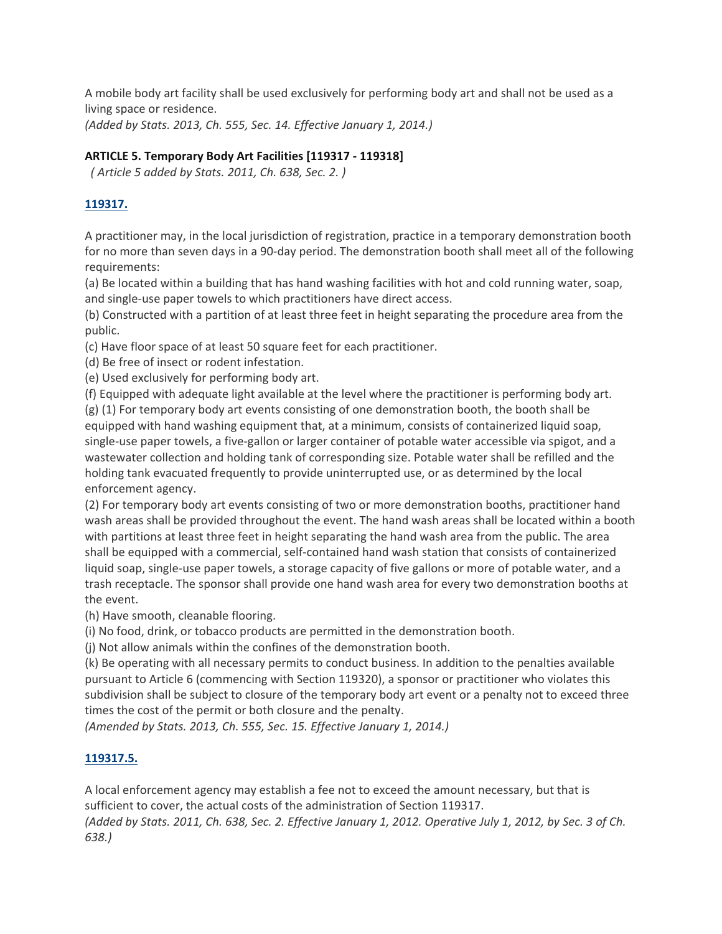A mobile body art facility shall be used exclusively for performing body art and shall not be used as a living space or residence.

*(Added by Stats. 2013, Ch. 555, Sec. 14. Effective January 1, 2014.)*

#### **ARTICLE 5. Temporary Body Art Facilities [119317 ‐ 119318]**

*( Article 5 added by Stats. 2011, Ch. 638, Sec. 2. )*

### **119317.**

A practitioner may, in the local jurisdiction of registration, practice in a temporary demonstration booth for no more than seven days in a 90-day period. The demonstration booth shall meet all of the following requirements:

(a) Be located within a building that has hand washing facilities with hot and cold running water, soap, and single‐use paper towels to which practitioners have direct access.

(b) Constructed with a partition of at least three feet in height separating the procedure area from the public.

(c) Have floor space of at least 50 square feet for each practitioner.

(d) Be free of insect or rodent infestation.

(e) Used exclusively for performing body art.

(f) Equipped with adequate light available at the level where the practitioner is performing body art. (g) (1) For temporary body art events consisting of one demonstration booth, the booth shall be equipped with hand washing equipment that, at a minimum, consists of containerized liquid soap, single‐use paper towels, a five‐gallon or larger container of potable water accessible via spigot, and a wastewater collection and holding tank of corresponding size. Potable water shall be refilled and the holding tank evacuated frequently to provide uninterrupted use, or as determined by the local enforcement agency.

(2) For temporary body art events consisting of two or more demonstration booths, practitioner hand wash areas shall be provided throughout the event. The hand wash areas shall be located within a booth with partitions at least three feet in height separating the hand wash area from the public. The area shall be equipped with a commercial, self‐contained hand wash station that consists of containerized liquid soap, single‐use paper towels, a storage capacity of five gallons or more of potable water, and a trash receptacle. The sponsor shall provide one hand wash area for every two demonstration booths at the event.

(h) Have smooth, cleanable flooring.

(i) No food, drink, or tobacco products are permitted in the demonstration booth.

(j) Not allow animals within the confines of the demonstration booth.

(k) Be operating with all necessary permits to conduct business. In addition to the penalties available pursuant to Article 6 (commencing with Section 119320), a sponsor or practitioner who violates this subdivision shall be subject to closure of the temporary body art event or a penalty not to exceed three times the cost of the permit or both closure and the penalty.

*(Amended by Stats. 2013, Ch. 555, Sec. 15. Effective January 1, 2014.)*

#### **119317.5.**

A local enforcement agency may establish a fee not to exceed the amount necessary, but that is sufficient to cover, the actual costs of the administration of Section 119317.

(Added by Stats. 2011, Ch. 638, Sec. 2. Effective January 1, 2012. Operative July 1, 2012, by Sec. 3 of Ch. *638.)*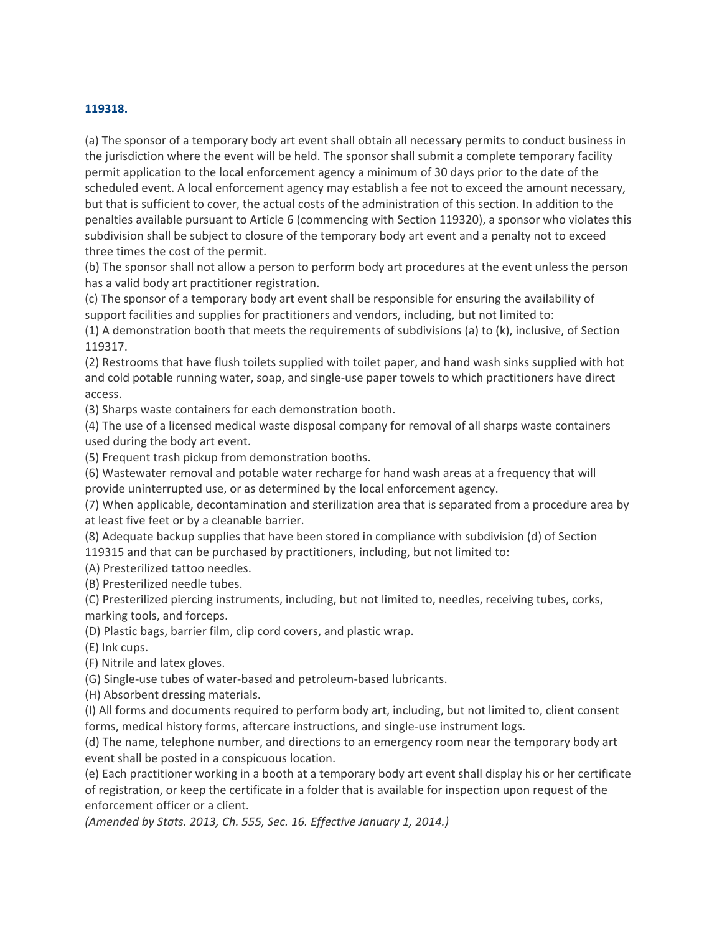#### **119318.**

(a) The sponsor of a temporary body art event shall obtain all necessary permits to conduct business in the jurisdiction where the event will be held. The sponsor shall submit a complete temporary facility permit application to the local enforcement agency a minimum of 30 days prior to the date of the scheduled event. A local enforcement agency may establish a fee not to exceed the amount necessary, but that is sufficient to cover, the actual costs of the administration of this section. In addition to the penalties available pursuant to Article 6 (commencing with Section 119320), a sponsor who violates this subdivision shall be subject to closure of the temporary body art event and a penalty not to exceed three times the cost of the permit.

(b) The sponsor shall not allow a person to perform body art procedures at the event unless the person has a valid body art practitioner registration.

(c) The sponsor of a temporary body art event shall be responsible for ensuring the availability of support facilities and supplies for practitioners and vendors, including, but not limited to:

(1) A demonstration booth that meets the requirements of subdivisions (a) to (k), inclusive, of Section 119317.

(2) Restrooms that have flush toilets supplied with toilet paper, and hand wash sinks supplied with hot and cold potable running water, soap, and single‐use paper towels to which practitioners have direct access.

(3) Sharps waste containers for each demonstration booth.

(4) The use of a licensed medical waste disposal company for removal of all sharps waste containers used during the body art event.

(5) Frequent trash pickup from demonstration booths.

(6) Wastewater removal and potable water recharge for hand wash areas at a frequency that will provide uninterrupted use, or as determined by the local enforcement agency.

(7) When applicable, decontamination and sterilization area that is separated from a procedure area by at least five feet or by a cleanable barrier.

(8) Adequate backup supplies that have been stored in compliance with subdivision (d) of Section 119315 and that can be purchased by practitioners, including, but not limited to:

(A) Presterilized tattoo needles.

(B) Presterilized needle tubes.

(C) Presterilized piercing instruments, including, but not limited to, needles, receiving tubes, corks, marking tools, and forceps.

(D) Plastic bags, barrier film, clip cord covers, and plastic wrap.

(E) Ink cups.

(F) Nitrile and latex gloves.

(G) Single‐use tubes of water‐based and petroleum‐based lubricants.

(H) Absorbent dressing materials.

(I) All forms and documents required to perform body art, including, but not limited to, client consent forms, medical history forms, aftercare instructions, and single‐use instrument logs.

(d) The name, telephone number, and directions to an emergency room near the temporary body art event shall be posted in a conspicuous location.

(e) Each practitioner working in a booth at a temporary body art event shall display his or her certificate of registration, or keep the certificate in a folder that is available for inspection upon request of the enforcement officer or a client.

*(Amended by Stats. 2013, Ch. 555, Sec. 16. Effective January 1, 2014.)*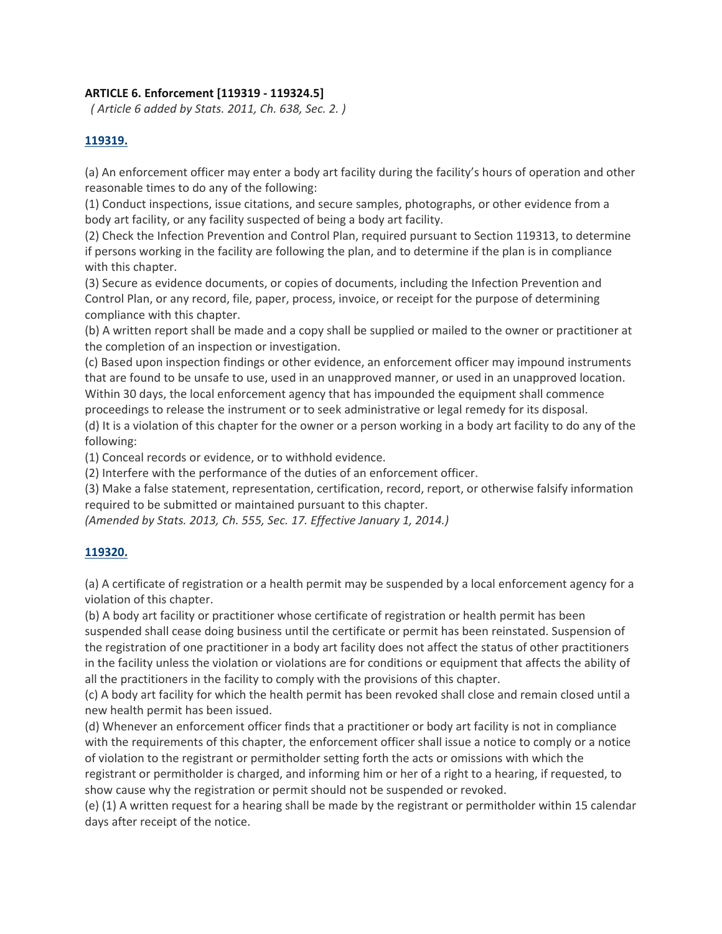#### **ARTICLE 6. Enforcement [119319 ‐ 119324.5]**

*( Article 6 added by Stats. 2011, Ch. 638, Sec. 2. )*

#### **119319.**

(a) An enforcement officer may enter a body art facility during the facility's hours of operation and other reasonable times to do any of the following:

(1) Conduct inspections, issue citations, and secure samples, photographs, or other evidence from a body art facility, or any facility suspected of being a body art facility.

(2) Check the Infection Prevention and Control Plan, required pursuant to Section 119313, to determine if persons working in the facility are following the plan, and to determine if the plan is in compliance with this chapter.

(3) Secure as evidence documents, or copies of documents, including the Infection Prevention and Control Plan, or any record, file, paper, process, invoice, or receipt for the purpose of determining compliance with this chapter.

(b) A written report shall be made and a copy shall be supplied or mailed to the owner or practitioner at the completion of an inspection or investigation.

(c) Based upon inspection findings or other evidence, an enforcement officer may impound instruments that are found to be unsafe to use, used in an unapproved manner, or used in an unapproved location. Within 30 days, the local enforcement agency that has impounded the equipment shall commence proceedings to release the instrument or to seek administrative or legal remedy for its disposal.

(d) It is a violation of this chapter for the owner or a person working in a body art facility to do any of the following:

(1) Conceal records or evidence, or to withhold evidence.

(2) Interfere with the performance of the duties of an enforcement officer.

(3) Make a false statement, representation, certification, record, report, or otherwise falsify information required to be submitted or maintained pursuant to this chapter.

*(Amended by Stats. 2013, Ch. 555, Sec. 17. Effective January 1, 2014.)*

### **119320.**

(a) A certificate of registration or a health permit may be suspended by a local enforcement agency for a violation of this chapter.

(b) A body art facility or practitioner whose certificate of registration or health permit has been suspended shall cease doing business until the certificate or permit has been reinstated. Suspension of the registration of one practitioner in a body art facility does not affect the status of other practitioners in the facility unless the violation or violations are for conditions or equipment that affects the ability of all the practitioners in the facility to comply with the provisions of this chapter.

(c) A body art facility for which the health permit has been revoked shall close and remain closed until a new health permit has been issued.

(d) Whenever an enforcement officer finds that a practitioner or body art facility is not in compliance with the requirements of this chapter, the enforcement officer shall issue a notice to comply or a notice of violation to the registrant or permitholder setting forth the acts or omissions with which the registrant or permitholder is charged, and informing him or her of a right to a hearing, if requested, to show cause why the registration or permit should not be suspended or revoked.

(e) (1) A written request for a hearing shall be made by the registrant or permitholder within 15 calendar days after receipt of the notice.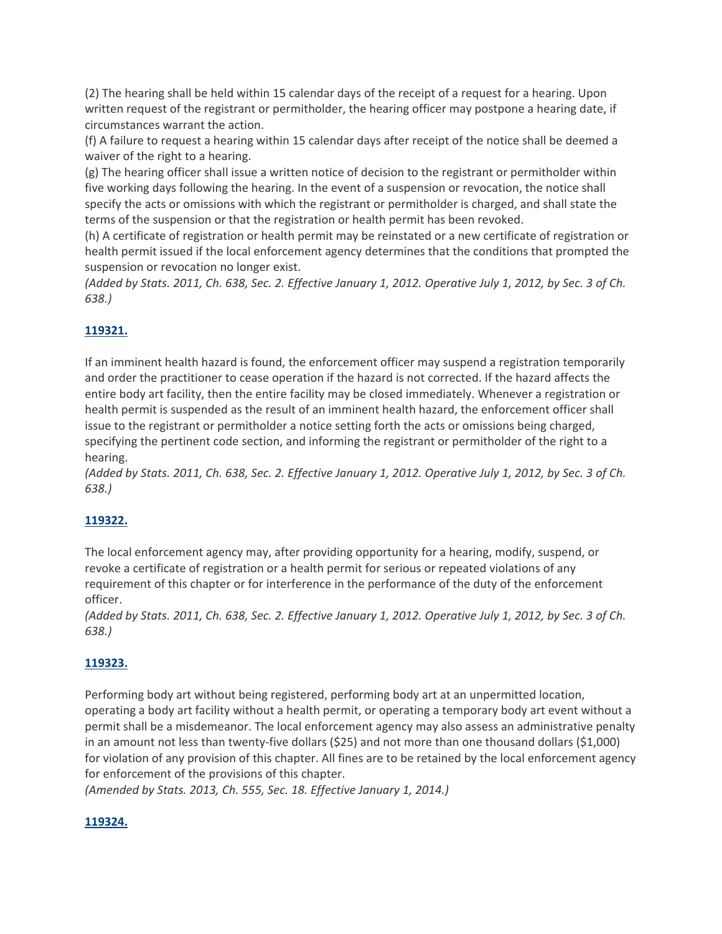(2) The hearing shall be held within 15 calendar days of the receipt of a request for a hearing. Upon written request of the registrant or permitholder, the hearing officer may postpone a hearing date, if circumstances warrant the action.

(f) A failure to request a hearing within 15 calendar days after receipt of the notice shall be deemed a waiver of the right to a hearing.

(g) The hearing officer shall issue a written notice of decision to the registrant or permitholder within five working days following the hearing. In the event of a suspension or revocation, the notice shall specify the acts or omissions with which the registrant or permitholder is charged, and shall state the terms of the suspension or that the registration or health permit has been revoked.

(h) A certificate of registration or health permit may be reinstated or a new certificate of registration or health permit issued if the local enforcement agency determines that the conditions that prompted the suspension or revocation no longer exist.

(Added by Stats. 2011, Ch. 638, Sec. 2. Effective January 1, 2012. Operative July 1, 2012, by Sec. 3 of Ch. *638.)*

# **119321.**

If an imminent health hazard is found, the enforcement officer may suspend a registration temporarily and order the practitioner to cease operation if the hazard is not corrected. If the hazard affects the entire body art facility, then the entire facility may be closed immediately. Whenever a registration or health permit is suspended as the result of an imminent health hazard, the enforcement officer shall issue to the registrant or permitholder a notice setting forth the acts or omissions being charged, specifying the pertinent code section, and informing the registrant or permitholder of the right to a hearing.

(Added by Stats. 2011, Ch. 638, Sec. 2. Effective January 1, 2012. Operative July 1, 2012, by Sec. 3 of Ch. *638.)*

# **119322.**

The local enforcement agency may, after providing opportunity for a hearing, modify, suspend, or revoke a certificate of registration or a health permit for serious or repeated violations of any requirement of this chapter or for interference in the performance of the duty of the enforcement officer.

(Added by Stats. 2011, Ch. 638, Sec. 2. Effective January 1, 2012. Operative July 1, 2012, by Sec. 3 of Ch. *638.)*

# **119323.**

Performing body art without being registered, performing body art at an unpermitted location, operating a body art facility without a health permit, or operating a temporary body art event without a permit shall be a misdemeanor. The local enforcement agency may also assess an administrative penalty in an amount not less than twenty‐five dollars (\$25) and not more than one thousand dollars (\$1,000) for violation of any provision of this chapter. All fines are to be retained by the local enforcement agency for enforcement of the provisions of this chapter.

*(Amended by Stats. 2013, Ch. 555, Sec. 18. Effective January 1, 2014.)*

### **119324.**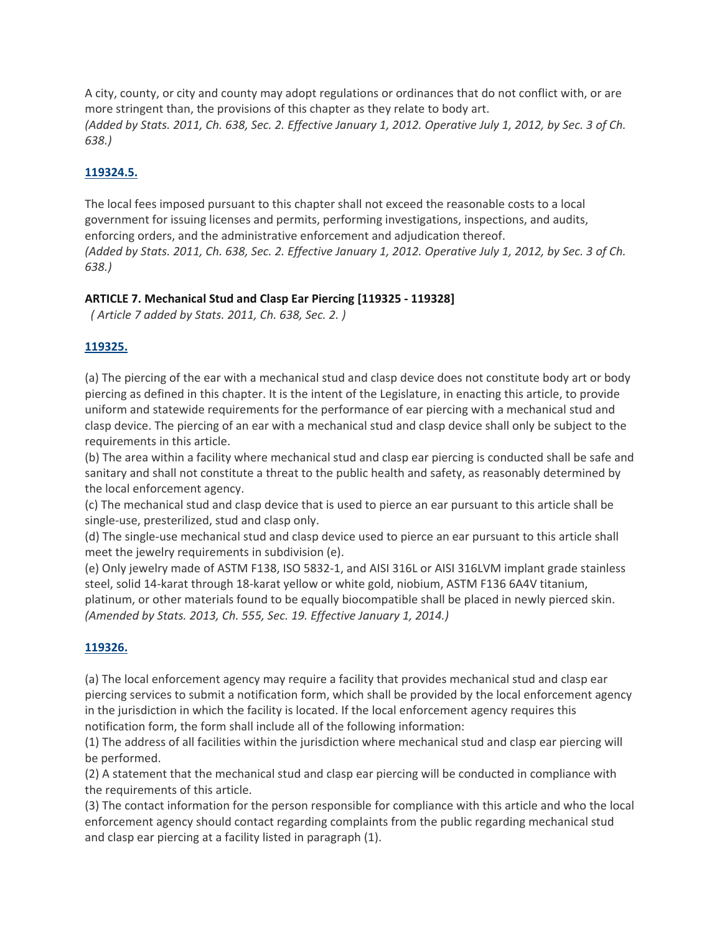A city, county, or city and county may adopt regulations or ordinances that do not conflict with, or are more stringent than, the provisions of this chapter as they relate to body art. (Added by Stats. 2011, Ch. 638, Sec. 2. Effective January 1, 2012. Operative July 1, 2012, by Sec. 3 of Ch. *638.)*

## **119324.5.**

The local fees imposed pursuant to this chapter shall not exceed the reasonable costs to a local government for issuing licenses and permits, performing investigations, inspections, and audits, enforcing orders, and the administrative enforcement and adjudication thereof. (Added by Stats. 2011, Ch. 638, Sec. 2. Effective January 1, 2012. Operative July 1, 2012, by Sec. 3 of Ch. *638.)*

#### **ARTICLE 7. Mechanical Stud and Clasp Ear Piercing [119325 ‐ 119328]**

*( Article 7 added by Stats. 2011, Ch. 638, Sec. 2. )*

#### **119325.**

(a) The piercing of the ear with a mechanical stud and clasp device does not constitute body art or body piercing as defined in this chapter. It is the intent of the Legislature, in enacting this article, to provide uniform and statewide requirements for the performance of ear piercing with a mechanical stud and clasp device. The piercing of an ear with a mechanical stud and clasp device shall only be subject to the requirements in this article.

(b) The area within a facility where mechanical stud and clasp ear piercing is conducted shall be safe and sanitary and shall not constitute a threat to the public health and safety, as reasonably determined by the local enforcement agency.

(c) The mechanical stud and clasp device that is used to pierce an ear pursuant to this article shall be single‐use, presterilized, stud and clasp only.

(d) The single‐use mechanical stud and clasp device used to pierce an ear pursuant to this article shall meet the jewelry requirements in subdivision (e).

(e) Only jewelry made of ASTM F138, ISO 5832‐1, and AISI 316L or AISI 316LVM implant grade stainless steel, solid 14‐karat through 18‐karat yellow or white gold, niobium, ASTM F136 6A4V titanium, platinum, or other materials found to be equally biocompatible shall be placed in newly pierced skin. *(Amended by Stats. 2013, Ch. 555, Sec. 19. Effective January 1, 2014.)*

### **119326.**

(a) The local enforcement agency may require a facility that provides mechanical stud and clasp ear piercing services to submit a notification form, which shall be provided by the local enforcement agency in the jurisdiction in which the facility is located. If the local enforcement agency requires this notification form, the form shall include all of the following information:

(1) The address of all facilities within the jurisdiction where mechanical stud and clasp ear piercing will be performed.

(2) A statement that the mechanical stud and clasp ear piercing will be conducted in compliance with the requirements of this article.

(3) The contact information for the person responsible for compliance with this article and who the local enforcement agency should contact regarding complaints from the public regarding mechanical stud and clasp ear piercing at a facility listed in paragraph (1).